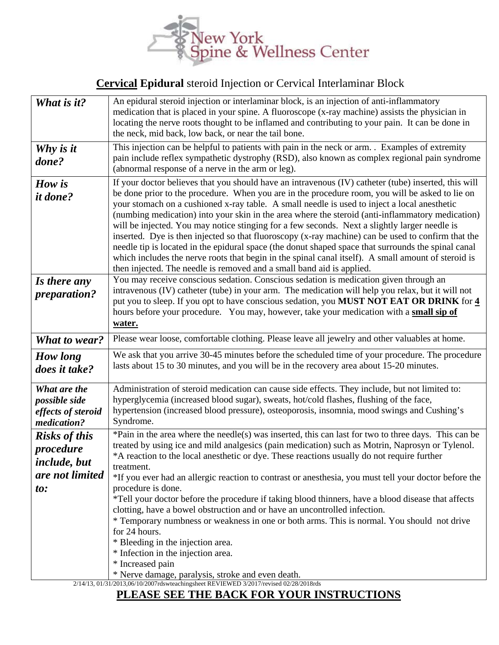

## **Cervical Epidural** steroid Injection or Cervical Interlaminar Block

| What is it?                                                                 | An epidural steroid injection or interlaminar block, is an injection of anti-inflammatory<br>medication that is placed in your spine. A fluoroscope (x-ray machine) assists the physician in<br>locating the nerve roots thought to be inflamed and contributing to your pain. It can be done in<br>the neck, mid back, low back, or near the tail bone.                                                                                                                                                                                                                                                                                                                                                                                                                                                                                                                                                  |
|-----------------------------------------------------------------------------|-----------------------------------------------------------------------------------------------------------------------------------------------------------------------------------------------------------------------------------------------------------------------------------------------------------------------------------------------------------------------------------------------------------------------------------------------------------------------------------------------------------------------------------------------------------------------------------------------------------------------------------------------------------------------------------------------------------------------------------------------------------------------------------------------------------------------------------------------------------------------------------------------------------|
| Why is it<br>done?                                                          | This injection can be helpful to patients with pain in the neck or arm. . Examples of extremity<br>pain include reflex sympathetic dystrophy (RSD), also known as complex regional pain syndrome<br>(abnormal response of a nerve in the arm or leg).                                                                                                                                                                                                                                                                                                                                                                                                                                                                                                                                                                                                                                                     |
| How is<br><i>it done?</i>                                                   | If your doctor believes that you should have an intravenous (IV) catheter (tube) inserted, this will<br>be done prior to the procedure. When you are in the procedure room, you will be asked to lie on<br>your stomach on a cushioned x-ray table. A small needle is used to inject a local anesthetic<br>(numbing medication) into your skin in the area where the steroid (anti-inflammatory medication)<br>will be injected. You may notice stinging for a few seconds. Next a slightly larger needle is<br>inserted. Dye is then injected so that fluoroscopy (x-ray machine) can be used to confirm that the<br>needle tip is located in the epidural space (the donut shaped space that surrounds the spinal canal<br>which includes the nerve roots that begin in the spinal canal itself). A small amount of steroid is<br>then injected. The needle is removed and a small band aid is applied. |
| Is there any<br><i>preparation?</i>                                         | You may receive conscious sedation. Conscious sedation is medication given through an<br>intravenous (IV) catheter (tube) in your arm. The medication will help you relax, but it will not<br>put you to sleep. If you opt to have conscious sedation, you MUST NOT EAT OR DRINK for 4<br>hours before your procedure. You may, however, take your medication with a small sip of<br>water.                                                                                                                                                                                                                                                                                                                                                                                                                                                                                                               |
| <b>What to wear?</b>                                                        | Please wear loose, comfortable clothing. Please leave all jewelry and other valuables at home.                                                                                                                                                                                                                                                                                                                                                                                                                                                                                                                                                                                                                                                                                                                                                                                                            |
| How long<br>does it take?                                                   | We ask that you arrive 30-45 minutes before the scheduled time of your procedure. The procedure<br>lasts about 15 to 30 minutes, and you will be in the recovery area about 15-20 minutes.                                                                                                                                                                                                                                                                                                                                                                                                                                                                                                                                                                                                                                                                                                                |
| What are the<br>possible side<br>effects of steroid<br>medication?          | Administration of steroid medication can cause side effects. They include, but not limited to:<br>hyperglycemia (increased blood sugar), sweats, hot/cold flashes, flushing of the face,<br>hypertension (increased blood pressure), osteoporosis, insomnia, mood swings and Cushing's<br>Syndrome.                                                                                                                                                                                                                                                                                                                                                                                                                                                                                                                                                                                                       |
| <b>Risks of this</b><br>procedure<br>include, but<br>are not limited<br>to: | *Pain in the area where the needle(s) was inserted, this can last for two to three days. This can be<br>treated by using ice and mild analgesics (pain medication) such as Motrin, Naprosyn or Tylenol.<br>*A reaction to the local anesthetic or dye. These reactions usually do not require further<br>treatment.<br>*If you ever had an allergic reaction to contrast or anesthesia, you must tell your doctor before the<br>procedure is done.<br>*Tell your doctor before the procedure if taking blood thinners, have a blood disease that affects<br>clotting, have a bowel obstruction and or have an uncontrolled infection.<br>* Temporary numbness or weakness in one or both arms. This is normal. You should not drive<br>for 24 hours.<br>* Bleeding in the injection area.<br>* Infection in the injection area.<br>* Increased pain<br>* Nerve damage, paralysis, stroke and even death.  |
|                                                                             | 2/14/13, 01/31/2013,06/10/2007rdswteachingsheet REVIEWED 3/2017/revised 02/28/2018rds                                                                                                                                                                                                                                                                                                                                                                                                                                                                                                                                                                                                                                                                                                                                                                                                                     |

## **PLEASE SEE THE BACK FOR YOUR INSTRUCTIONS**